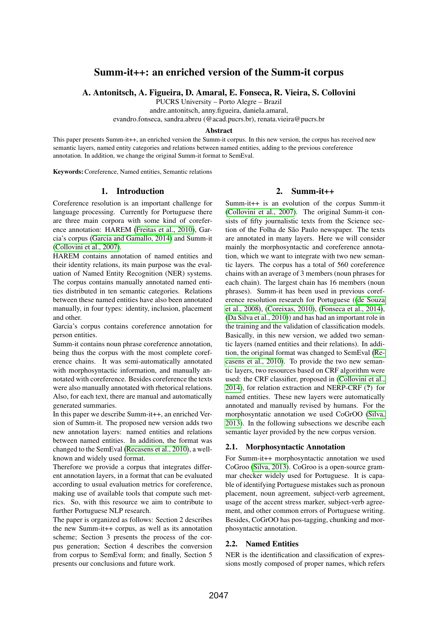# Summ-it++: an enriched version of the Summ-it corpus

A. Antonitsch, A. Figueira, D. Amaral, E. Fonseca, R. Vieira, S. Collovini

PUCRS University – Porto Alegre – Brazil

andre.antonitsch, anny.figueira, daniela.amaral,

evandro.fonseca, sandra.abreu (@acad.pucrs.br), renata.vieira@pucrs.br

#### Abstract

This paper presents Summ-it++, an enriched version the Summ-it corpus. In this new version, the corpus has received new semantic layers, named entity categories and relations between named entities, adding to the previous coreference annotation. In addition, we change the original Summ-it format to SemEval.

Keywords:Coreference, Named entities, Semantic relations

## 1. Introduction

Coreference resolution is an important challenge for language processing. Currently for Portuguese there are three main corpora with some kind of coreference annotation: HAREM [\(Freitas et al., 2010\)](#page-4-0), Garcia's corpus [\(Garcia and Gamallo, 2014\)](#page-4-1) and Summ-it [\(Collovini et al., 2007\)](#page-4-2).

HAREM contains annotation of named entities and their identity relations, its main purpose was the evaluation of Named Entity Recognition (NER) systems. The corpus contains manually annotated named entities distributed in ten semantic categories. Relations between these named entities have also been annotated manually, in four types: identity, inclusion, placement and other.

Garcia's corpus contains coreference annotation for person entities.

Summ-it contains noun phrase coreference annotation, being thus the corpus with the most complete coreference chains. It was semi-automatically annotated with morphosyntactic information, and manually annotated with coreference. Besides coreference the texts were also manually annotated with rhetorical relations. Also, for each text, there are manual and automatically generated summaries.

In this paper we describe Summ-it++, an enriched Version of Summ-it. The proposed new version adds two new annotation layers: named entities and relations between named entities. In addition, the format was changed to the SemEval [\(Recasens et al., 2010\)](#page-4-3), a wellknown and widely used format.

Therefore we provide a corpus that integrates different annotation layers, in a format that can be evaluated according to usual evaluation metrics for coreference, making use of available tools that compute such metrics. So, with this resource we aim to contribute to further Portuguese NLP research.

The paper is organized as follows: Section 2 describes the new Summ-it++ corpus, as well as its annotation scheme; Section 3 presents the process of the corpus generation; Section 4 describes the conversion from corpus to SemEval form; and finally, Section 5 presents our conclusions and future work.

## 2. Summ-it $++$

Summ-it++ is an evolution of the corpus Summ-it [\(Collovini et al., 2007\)](#page-4-2). The original Summ-it consists of fifty journalistic texts from the Science section of the Folha de São Paulo newspaper. The texts are annotated in many layers. Here we will consider mainly the morphosyntactic and coreference annotation, which we want to integrate with two new semantic layers. The corpus has a total of 560 coreference chains with an average of 3 members (noun phrases for each chain). The largest chain has 16 members (noun phrases). Summ-it has been used in previous coreference resolution research for Portuguese ([\(de Souza](#page-4-4) [et al., 2008\)](#page-4-4), [\(Coreixas, 2010\)](#page-4-5), [\(Fonseca et al., 2014\)](#page-4-6), [\(Da Silva et al., 2010\)](#page-4-7)) and has had an important role in the training and the validation of classification models. Basically, in this new version, we added two semantic layers (named entities and their relations). In addition, the original format was changed to SemEval [\(Re](#page-4-3)[casens et al., 2010\)](#page-4-3). To provide the two new semantic layers, two resources based on CRF algorithm were used: the CRF classifier, proposed in [\(Collovini et al.,](#page-4-8) [2014\)](#page-4-8), for relation extraction and NERP-CRF (?) for named entities. These new layers were automatically annotated and manually revised by humans. For the morphosyntatic annotation we used CoGrOO [\(Silva,](#page-4-9) [2013\)](#page-4-9). In the following subsections we describe each semantic layer provided by the new corpus version.

## 2.1. Morphosyntactic Annotation

For Summ-it++ morphosyntactic annotation we used CoGroo [\(Silva, 2013\)](#page-4-9). CoGroo is a open-source grammar checker widely used for Portuguese. It is capable of identifying Portuguese mistakes such as pronoun placement, noun agreement, subject-verb agreement, usage of the accent stress marker, subject-verb agreement, and other common errors of Portuguese writing. Besides, CoGrOO has pos-tagging, chunking and morphosyntactic annotation.

## 2.2. Named Entities

NER is the identification and classification of expressions mostly composed of proper names, which refers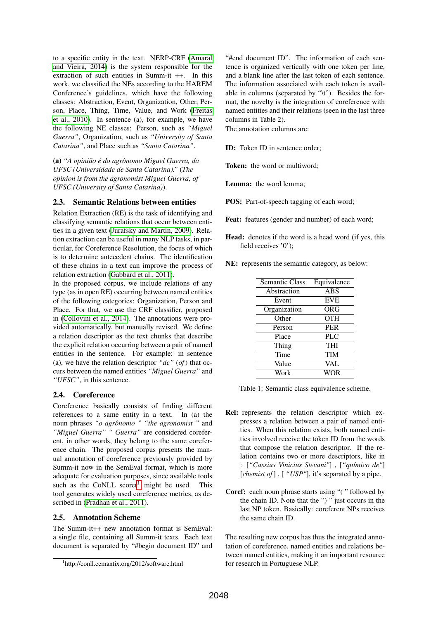to a specific entity in the text. NERP-CRF [\(Amaral](#page-4-10) [and Vieira, 2014\)](#page-4-10) is the system responsible for the extraction of such entities in Summ-it ++. In this work, we classified the NEs according to the HAREM Conference's guidelines, which have the following classes: Abstraction, Event, Organization, Other, Person, Place, Thing, Time, Value, and Work [\(Freitas](#page-4-0) [et al., 2010\)](#page-4-0). In sentence (a), for example, we have the following NE classes: Person, such as *"Miguel Guerra"*, Organization, such as *"University of Santa Catarina"*, and Place such as *"Santa Catarina"*.

(a) *"A opinião é do agrônomo Miguel Guerra, da UFSC (Universidade de Santa Catarina)."* (*The opinion is from the agronomist Miguel Guerra, of UFSC (University of Santa Catarina)*).

## 2.3. Semantic Relations between entities

Relation Extraction (RE) is the task of identifying and classifying semantic relations that occur between entities in a given text [\(Jurafsky and Martin, 2009\)](#page-4-11). Relation extraction can be useful in many NLP tasks, in particular, for Coreference Resolution, the focus of which is to determine antecedent chains. The identification of these chains in a text can improve the process of relation extraction [\(Gabbard et al., 2011\)](#page-4-12).

In the proposed corpus, we include relations of any type (as in open RE) occurring between named entities of the following categories: Organization, Person and Place. For that, we use the CRF classifier, proposed in [\(Collovini et al., 2014\)](#page-4-8). The annotations were provided automatically, but manually revised. We define a relation descriptor as the text chunks that describe the explicit relation occurring between a pair of named entities in the sentence. For example: in sentence (a), we have the relation descriptor *"de"* (*of*) that occurs between the named entities *"Miguel Guerra"* and *"UFSC"*, in this sentence.

## 2.4. Coreference

Coreference basically consists of finding different references to a same entity in a text. In (a) the noun phrases *"o agrônomo " "the agronomist "* and *"Miguel Guerra" " Guerra"* are considered coreferent, in other words, they belong to the same coreference chain. The proposed corpus presents the manual annotation of coreference previously provided by Summ-it now in the SemEval format, which is more adequate for evaluation purposes, since available tools such as the CoNLL scorer<sup>[1](#page-1-0)</sup> might be used. This tool generates widely used coreference metrics, as described in [\(Pradhan et al., 2011\)](#page-4-13).

#### 2.5. Annotation Scheme

The Summ-it++ new annotation format is SemEval: a single file, containing all Summ-it texts. Each text document is separated by "#begin document ID" and

"#end document ID". The information of each sentence is organized vertically with one token per line, and a blank line after the last token of each sentence. The information associated with each token is available in columns (separated by "\t"). Besides the format, the novelty is the integration of coreference with named entities and their relations (seen in the last three columns in Table 2).

The annotation columns are:

ID: Token ID in sentence order;

Token: the word or multiword;

Lemma: the word lemma;

POS: Part-of-speech tagging of each word;

Feat: features (gender and number) of each word;

- Head: denotes if the word is a head word (if yes, this field receives '0');
- NE: represents the semantic category, as below:

| Equivalence |
|-------------|
| <b>ABS</b>  |
| <b>EVE</b>  |
| <b>ORG</b>  |
| <b>OTH</b>  |
| <b>PER</b>  |
| <b>PLC</b>  |
| <b>THI</b>  |
| <b>TIM</b>  |
| VAL         |
| WOR         |
|             |

Table 1: Semantic class equivalence scheme.

- Rel: represents the relation descriptor which expresses a relation between a pair of named entities. When this relation exists, both named entities involved receive the token ID from the words that compose the relation descriptor. If the relation contains two or more descriptors, like in : [*"Cassius Vinicius Stevani"*] , [*"químico de"*] [*chemist of*], [ "*USP*"], it's separated by a pipe.
- Coref: each noun phrase starts using "( " followed by the chain ID. Note that the ") " just occurs in the last NP token. Basically: coreferent NPs receives the same chain ID.

The resulting new corpus has thus the integrated annotation of coreference, named entities and relations between named entities, making it an important resource for research in Portuguese NLP.

<span id="page-1-0"></span><sup>1</sup> http://conll.cemantix.org/2012/software.html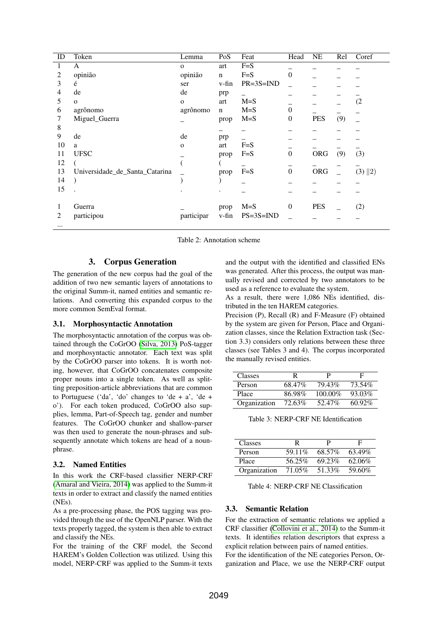| ID             | Token                          | Lemma        | PoS         | Feat            | Head             | <b>NE</b>  | Rel | Coref     |
|----------------|--------------------------------|--------------|-------------|-----------------|------------------|------------|-----|-----------|
| 1              | A                              | $\mathbf{O}$ | art         | $F=S$           |                  |            |     |           |
| 2              | opinião                        | opinião      | $\mathbf n$ | $F=S$           | $\overline{0}$   |            |     |           |
| 3              | é                              | ser          | v-fin       | $PR = 3S = IND$ |                  |            |     |           |
| 4              | de                             | de           | prp         |                 |                  |            |     |           |
| 5              | $\mathbf{O}$                   | $\mathbf{O}$ | art         | $M = S$         |                  |            |     | (2)       |
| 6              | agrônomo                       | agrônomo     | $\mathbf n$ | $M = S$         | $\overline{0}$   |            |     |           |
|                | Miguel_Guerra                  |              | prop        | $M = S$         | $\theta$         | <b>PES</b> | (9) |           |
| 8              |                                |              |             |                 |                  |            |     |           |
| 9              | de                             | de           | prp         |                 |                  |            |     |           |
| 10             | a                              | $\mathbf{O}$ | art         | $F=S$           |                  |            |     |           |
| 11             | <b>UFSC</b>                    |              | prop        | $F=S$           | $\boldsymbol{0}$ | ORG        | (9) | (3)       |
| 12             |                                |              |             |                 |                  |            |     |           |
| 13             | Universidade_de_Santa_Catarina |              | prop        | $F = S$         | $\overline{0}$   | ORG        |     | $(3)$  2) |
| 14             |                                |              |             |                 |                  |            |     |           |
| 15             |                                |              | ٠           |                 |                  |            |     |           |
|                |                                |              |             |                 |                  |            |     |           |
| 1              | Guerra                         |              | prop        | $M = S$         | $\mathbf{0}$     | <b>PES</b> |     | (2)       |
| $\overline{2}$ | participou                     | participar   | v-fin       | $PS = 3S = IND$ |                  |            |     |           |
| $\cdots$       |                                |              |             |                 |                  |            |     |           |

Table 2: Annotation scheme

#### $3.$ **Corpus Generation**

The generation of the new corpus had the goal of the addition of two new semantic layers of annotations to the original Summ-it, named entities and semantic relations. And converting this expanded corpus to the more common SemEval format.

## 3.1. Morphosyntactic Annotation

The morphosyntactic annotation of the corpus was obtained through the CoGrOO (Silva, 2013) PoS-tagger and morphosyntactic annotator. Each text was split by the CoGrOO parser into tokens. It is worth noting, however, that CoGrOO concatenates composite proper nouns into a single token. As well as splitting preposition-article abbreviations that are common to Portuguese ('da', 'do' changes to 'de + a', 'de + o'). For each token produced, CoGrOO also supplies, lemma, Part-of-Speech tag, gender and number features. The CoGrOO chunker and shallow-parser was then used to generate the noun-phrases and subsequently annotate which tokens are head of a nounphrase.

## <span id="page-2-0"></span>3.2. Named Entities

In this work the CRF-based classifier NERP-CRF (Amaral and Vieira, 2014) was applied to the Summ-it texts in order to extract and classify the named entities  $(NEs)$ .

As a pre-processing phase, the POS tagging was provided through the use of the OpenNLP parser. With the texts properly tagged, the system is then able to extract and classify the NEs.

For the training of the CRF model, the Second HAREM's Golden Collection was utilized. Using this model, NERP-CRF was applied to the Summ-it texts and the output with the identified and classified ENs was generated. After this process, the output was manually revised and corrected by two annotators to be used as a reference to evaluate the system.

As a result, there were 1,086 NEs identified, distributed in the ten HAREM categories.

Precision (P), Recall (R) and F-Measure (F) obtained by the system are given for Person, Place and Organization classes, since the Relation Extraction task (Section 3.3) considers only relations between these three classes (see Tables 3 and 4). The corpus incorporated the manually revised entities.

| Classes      |        |            | н         |
|--------------|--------|------------|-----------|
| Person       | 68.47% | 79.43%     | 73.54%    |
| Place        | 86.98% | $100.00\%$ | 93.03%    |
| Organization | 72.63% | 52.47%     | $60.92\%$ |

Table 3: NERP-CRF NE Identification

| <b>Classes</b> |        |        | F      |
|----------------|--------|--------|--------|
| Person         | 59.11% | 68.57% | 63.49% |
| Place          | 56.25% | 69.23% | 62.06% |
| Organization   | 71.05% | 51.33% | 59.60% |

Table 4: NERP-CRF NE Classification

## <span id="page-2-1"></span>3.3. Semantic Relation

For the extraction of semantic relations we applied a CRF classifier (Collovini et al., 2014) to the Summ-it texts. It identifies relation descriptors that express a explicit relation between pairs of named entities.

For the identification of the NE categories Person, Organization and Place, we use the NERP-CRF output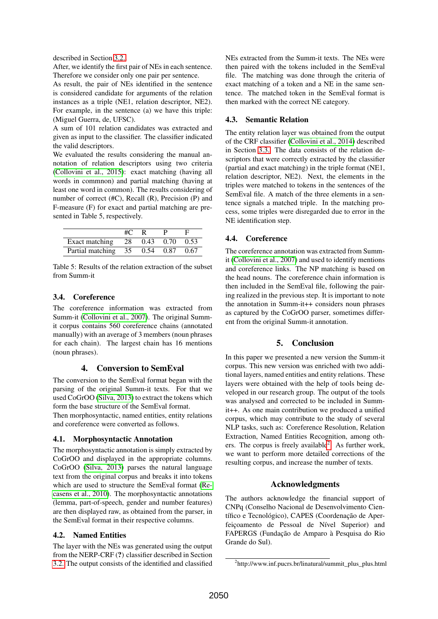described in Section [3.2..](#page-2-0)

After, we identify the first pair of NEs in each sentence. Therefore we consider only one pair per sentence.

As result, the pair of NEs identified in the sentence is considered candidate for arguments of the relation instances as a triple (NE1, relation descriptor, NE2). For example, in the sentence (a) we have this triple: (Miguel Guerra, de, UFSC).

A sum of 101 relation candidates was extracted and given as input to the classifier. The classifier indicated the valid descriptors.

We evaluated the results considering the manual annotation of relation descriptors using two criteria [\(Collovini et al., 2015\)](#page-4-14): exact matching (having all words in commnon) and partial matching (having at least one word in common). The results considering of number of correct (#C), Recall (R), Precision (P) and F-measure (F) for exact and partial matching are presented in Table 5, respectively.

|                                    | #C | $R_{\rm{B}}$ |      |
|------------------------------------|----|--------------|------|
| Exact matching $28$ 0.43 0.70 0.53 |    |              |      |
| Partial matching 35 0.54 0.87      |    |              | 0.67 |

Table 5: Results of the relation extraction of the subset from Summ-it

## 3.4. Coreference

The coreference information was extracted from Summ-it [\(Collovini et al., 2007\)](#page-4-2). The original Summit corpus contains 560 coreference chains (annotated manually) with an average of 3 members (noun phrases for each chain). The largest chain has 16 mentions (noun phrases).

## 4. Conversion to SemEval

The conversion to the SemEval format began with the parsing of the original Summ-it texts. For that we used CoGrOO [\(Silva, 2013\)](#page-4-9) to extract the tokens which form the base structure of the SemEval format.

Then morphosyntactic, named entities, entity relations and coreference were converted as follows.

## 4.1. Morphosyntactic Annotation

The morphosyntactic annotation is simply extracted by CoGrOO and displayed in the appropriate columns. CoGrOO [\(Silva, 2013\)](#page-4-9) parses the natural language text from the original corpus and breaks it into tokens which are used to structure the SemEval format [\(Re](#page-4-3)[casens et al., 2010\)](#page-4-3). The morphosyntactic annotations (lemma, part-of-speech, gender and number features) are then displayed raw, as obtained from the parser, in the SemEval format in their respective columns.

## 4.2. Named Entities

The layer with the NEs was generated using the output from the NERP-CRF (?) classifier described in Section [3.2.](#page-2-0) The output consists of the identified and classified

NEs extracted from the Summ-it texts. The NEs were then paired with the tokens included in the SemEval file. The matching was done through the criteria of exact matching of a token and a NE in the same sentence. The matched token in the SemEval format is then marked with the correct NE category.

## 4.3. Semantic Relation

The entity relation layer was obtained from the output of the CRF classifier [\(Collovini et al., 2014\)](#page-4-8) described in Section [3.3.](#page-2-1) The data consists of the relation descriptors that were correctly extracted by the classifier (partial and exact matching) in the triple format (NE1, relation descriptor, NE2). Next, the elements in the triples were matched to tokens in the sentences of the SemEval file. A match of the three elements in a sentence signals a matched triple. In the matching process, some triples were disregarded due to error in the NE identification step.

## 4.4. Coreference

The coreference annotation was extracted from Summit [\(Collovini et al., 2007\)](#page-4-2) and used to identify mentions and coreference links. The NP matching is based on the head nouns. The coreference chain information is then included in the SemEval file, following the pairing realized in the previous step. It is important to note the annotation in Summ-it++ considers noun phrases as captured by the CoGrOO parser, sometimes different from the original Summ-it annotation.

## 5. Conclusion

In this paper we presented a new version the Summ-it corpus. This new version was enriched with two additional layers, named entities and entity relations. These layers were obtained with the help of tools being developed in our research group. The output of the tools was analysed and corrected to be included in Summit++. As one main contribution we produced a unified corpus, which may contribute to the study of several NLP tasks, such as: Coreference Resolution, Relation Extraction, Named Entities Recognition, among oth-ers. The corpus is freely available<sup>[2](#page-3-0)</sup>. As further work, we want to perform more detailed corrections of the resulting corpus, and increase the number of texts.

## Acknowledgments

The authors acknowledge the financial support of CNPq (Conselho Nacional de Desenvolvimento Científico e Tecnológico), CAPES (Coordenação de Aperfeiçoamento de Pessoal de Nível Superior) and FAPERGS (Fundação de Amparo à Pesquisa do Rio Grande do Sul).

<span id="page-3-0"></span><sup>2</sup> http://www.inf.pucrs.br/linatural/summit\_plus\_plus.html